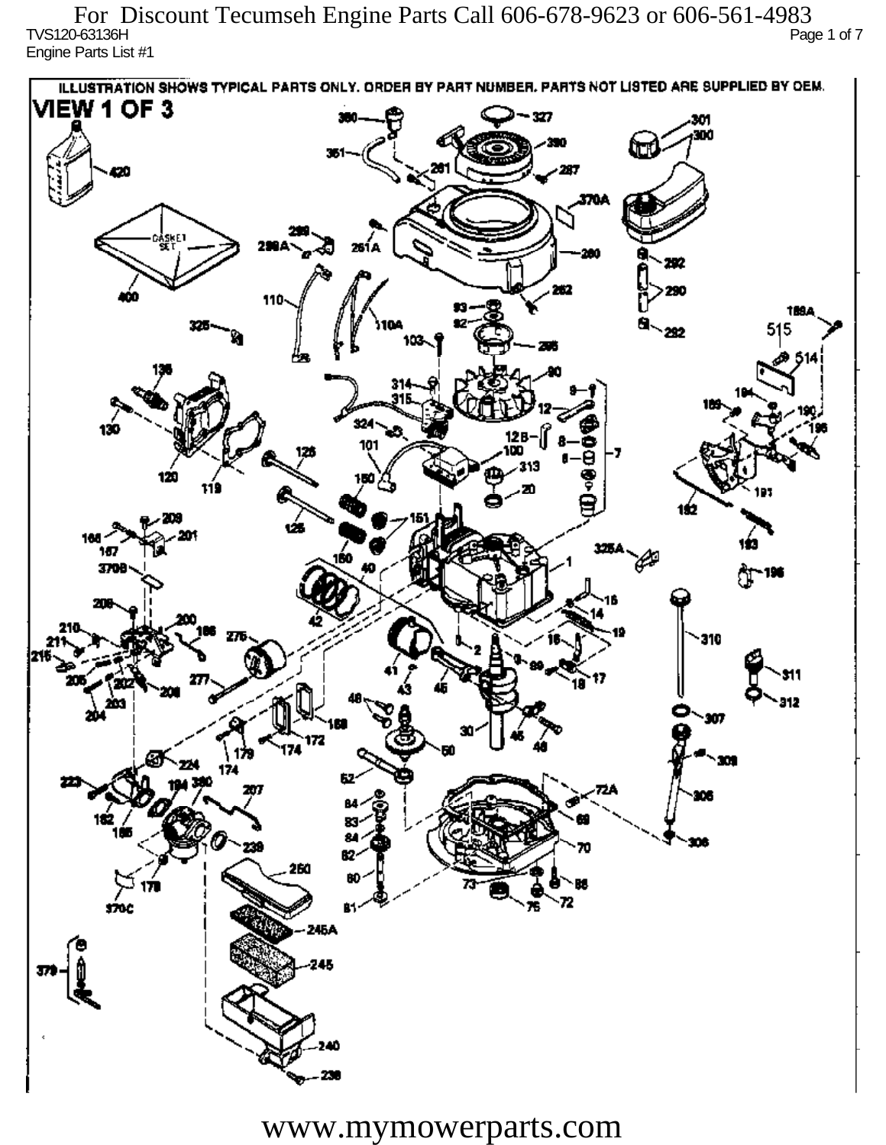TVS120-63136H Page 1 of 7 Engine Parts List #1 For Discount Tecumseh Engine Parts Call 606-678-9623 or 606-561-4983

ILLUSTRATION SHOWS TYPICAL PARTS ONLY. ORDER BY PART NUMBER, PARTS NOT LISTED ARE SUPPLIED BY DEM. **VIEW 1 OF 3** - 327 301 300 20 370A iskF1 261 A ж 292 290 110 1894 515 292 324 130 12 R 101 313 120 دھر 1ś2 ÚБ 160 167 160 P 3709 196 77 310 912 201 Ô,  $\mathbf{m}$ 172 174 174 182 ÷. ß2 260 72 sioc 76 81 245A 245 40

www.mymowerparts.com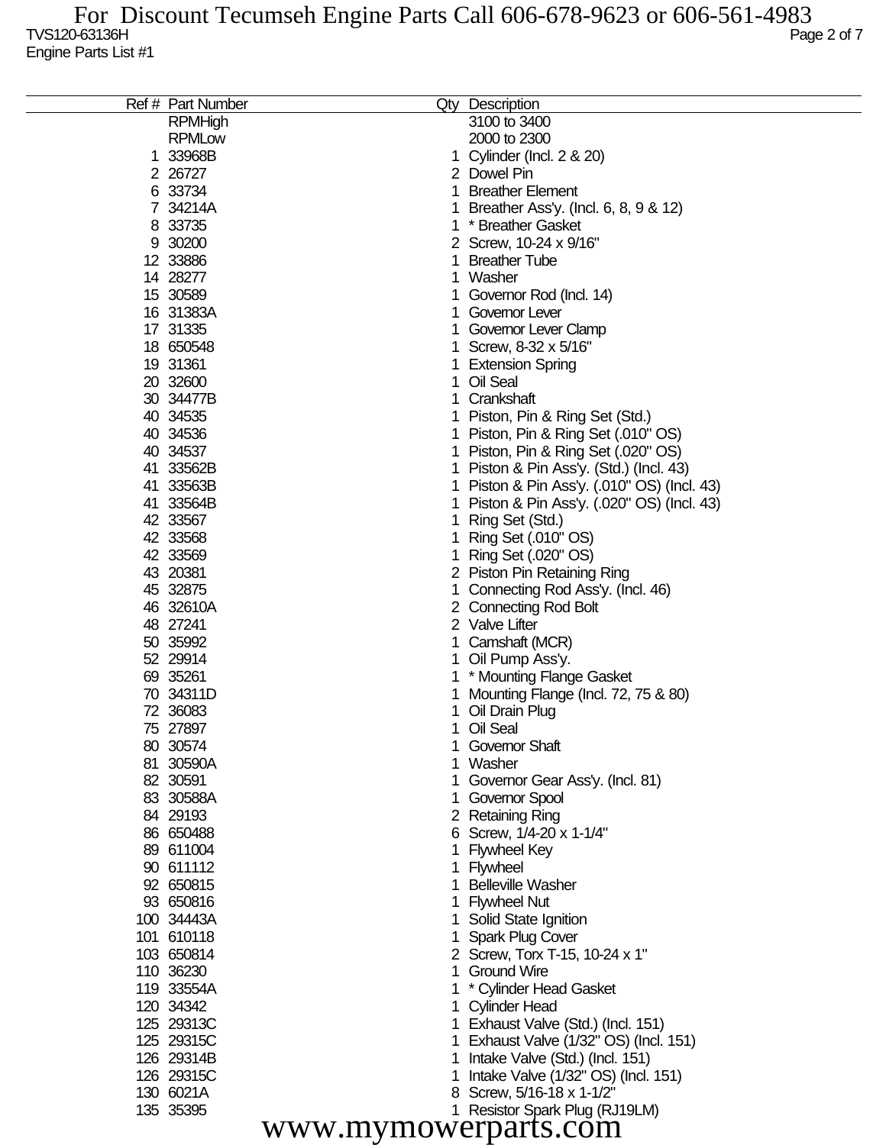|                      | Ref # Part Number |    | Qty Description                             |  |  |
|----------------------|-------------------|----|---------------------------------------------|--|--|
|                      | <b>RPMHigh</b>    |    | 3100 to 3400                                |  |  |
|                      | <b>RPMLow</b>     |    | 2000 to 2300                                |  |  |
|                      | 1 33968B          |    | 1 Cylinder (Incl. 2 & 20)                   |  |  |
|                      | 2 26727           |    | 2 Dowel Pin                                 |  |  |
|                      | 6 33734           |    | 1 Breather Element                          |  |  |
|                      | 7 34214A          | 1. | Breather Ass'y. (Incl. 6, 8, 9 & 12)        |  |  |
|                      | 8 33735           |    | 1 * Breather Gasket                         |  |  |
|                      | 9 30200           |    | 2 Screw, 10-24 x 9/16"                      |  |  |
|                      | 12 33886          | 1  | <b>Breather Tube</b>                        |  |  |
|                      | 14 28277          |    | 1 Washer                                    |  |  |
|                      | 15 30589          |    | 1 Governor Rod (Incl. 14)                   |  |  |
|                      | 16 31383A         |    | 1 Governor Lever                            |  |  |
|                      | 17 31335          |    | 1 Governor Lever Clamp                      |  |  |
|                      | 18 650548         |    | 1 Screw, 8-32 x 5/16"                       |  |  |
|                      | 19 31361          |    |                                             |  |  |
|                      |                   |    | 1 Extension Spring<br>1 Oil Seal            |  |  |
|                      | 20 32600          |    |                                             |  |  |
|                      | 30 34477B         |    | 1 Crankshaft                                |  |  |
|                      | 40 34535          |    | 1 Piston, Pin & Ring Set (Std.)             |  |  |
|                      | 40 34536          |    | 1 Piston, Pin & Ring Set (.010" OS)         |  |  |
|                      | 40 34537          |    | 1 Piston, Pin & Ring Set (.020" OS)         |  |  |
|                      | 41 33562B         |    | 1 Piston & Pin Ass'y. (Std.) (Incl. 43)     |  |  |
|                      | 41 33563B         |    | 1 Piston & Pin Ass'y. (.010" OS) (Incl. 43) |  |  |
|                      | 41 33564B         |    | 1 Piston & Pin Ass'y. (.020" OS) (Incl. 43) |  |  |
|                      | 42 33567          |    | 1 Ring Set (Std.)                           |  |  |
|                      | 42 33568          |    | 1 Ring Set (.010" OS)                       |  |  |
|                      | 42 33569          |    | 1 Ring Set (.020" OS)                       |  |  |
|                      | 43 20381          |    | 2 Piston Pin Retaining Ring                 |  |  |
|                      | 45 32875          |    | 1 Connecting Rod Ass'y. (Incl. 46)          |  |  |
|                      | 46 32610A         |    | 2 Connecting Rod Bolt                       |  |  |
|                      | 48 27241          |    | 2 Valve Lifter                              |  |  |
|                      | 50 35992          |    | 1 Camshaft (MCR)                            |  |  |
|                      | 52 29914          |    | 1 Oil Pump Ass'y.                           |  |  |
|                      | 69 35261          |    | 1 * Mounting Flange Gasket                  |  |  |
|                      | 70 34311D         | 1. | Mounting Flange (Incl. 72, 75 & 80)         |  |  |
|                      | 72 36083          |    | 1 Oil Drain Plug                            |  |  |
|                      | 75 27897          |    | 1 Oil Seal                                  |  |  |
|                      | 80 30574          |    | 1 Governor Shaft                            |  |  |
|                      | 81 30590A         |    | 1 Washer                                    |  |  |
|                      | 82 30591          |    | Governor Gear Ass'y. (Incl. 81)             |  |  |
|                      | 83 30588A         |    | 1 Governor Spool                            |  |  |
|                      | 84 29193          |    | 2 Retaining Ring                            |  |  |
|                      | 86 650488         |    | 6 Screw, 1/4-20 x 1-1/4"                    |  |  |
|                      | 89 611004         |    | 1 Flywheel Key                              |  |  |
|                      | 90 611112         |    | 1 Flywheel                                  |  |  |
|                      | 92 650815         |    | <b>Belleville Washer</b>                    |  |  |
|                      | 93 650816         |    | 1 Flywheel Nut                              |  |  |
|                      | 100 34443A        |    | 1 Solid State Ignition                      |  |  |
|                      | 101 610118        |    | 1 Spark Plug Cover                          |  |  |
|                      | 103 650814        |    | 2 Screw, Torx T-15, 10-24 x 1"              |  |  |
|                      | 110 36230         |    | 1 Ground Wire                               |  |  |
|                      | 119 33554A        |    | * Cylinder Head Gasket                      |  |  |
|                      | 120 34342         |    |                                             |  |  |
|                      | 125 29313C        |    | 1 Cylinder Head                             |  |  |
|                      |                   |    | 1 Exhaust Valve (Std.) (Incl. 151)          |  |  |
|                      | 125 29315C        |    | Exhaust Valve (1/32" OS) (Incl. 151)        |  |  |
|                      | 126 29314B        | 1. | Intake Valve (Std.) (Incl. 151)             |  |  |
|                      | 126 29315C        |    | Intake Valve (1/32" OS) (Incl. 151)         |  |  |
|                      | 130 6021A         |    | 8 Screw, 5/16-18 x 1-1/2"                   |  |  |
|                      | 135 35395         |    | 1 Resistor Spark Plug (RJ19LM)              |  |  |
| www.mymowerparts.com |                   |    |                                             |  |  |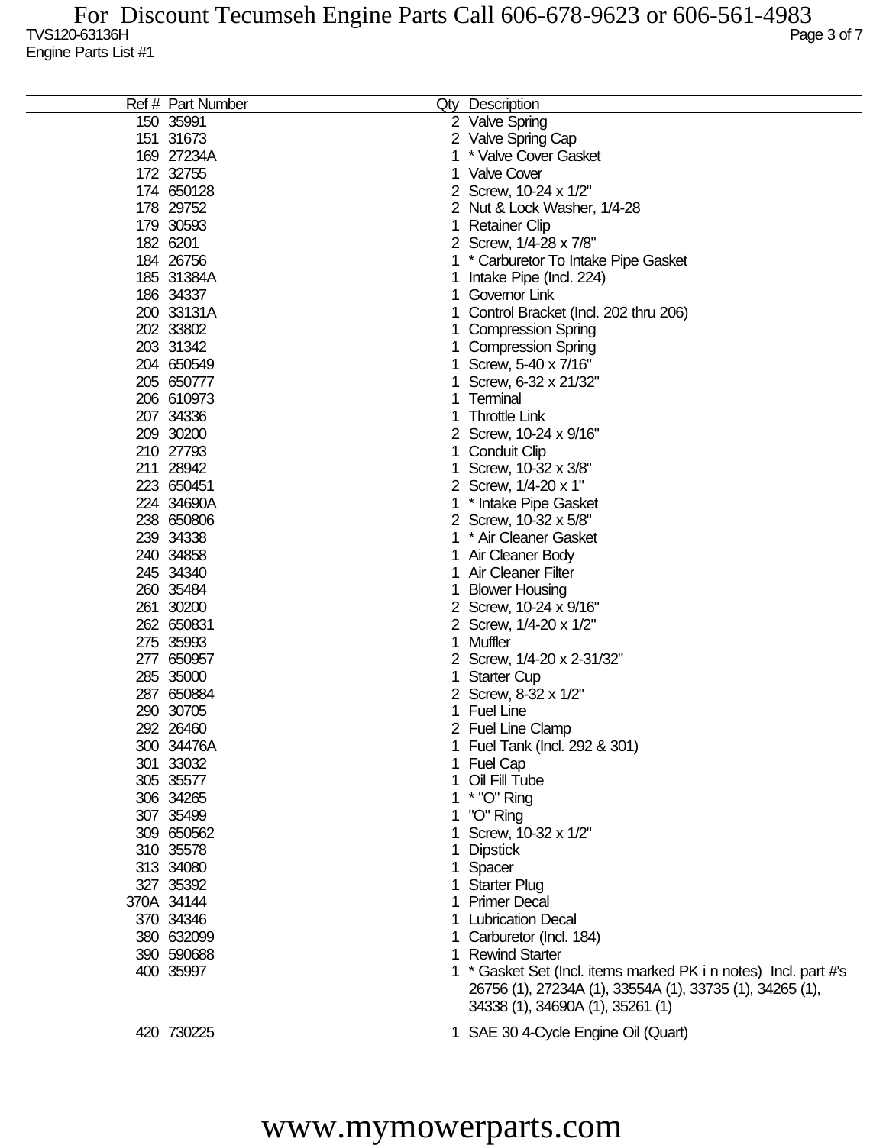| Ref # Part Number |    | Qty Description                                                                              |
|-------------------|----|----------------------------------------------------------------------------------------------|
| 150 35991         |    | 2 Valve Spring                                                                               |
| 151 31673         |    | 2 Valve Spring Cap                                                                           |
| 169 27234A        | 1  | * Valve Cover Gasket                                                                         |
| 172 32755         | 1. | <b>Valve Cover</b>                                                                           |
| 174 650128        |    | 2 Screw, 10-24 x 1/2"                                                                        |
| 178 29752         |    | 2 Nut & Lock Washer, 1/4-28                                                                  |
| 179 30593         | 1. | <b>Retainer Clip</b>                                                                         |
| 182 6201          |    | 2 Screw, 1/4-28 x 7/8"                                                                       |
| 184 26756         |    | 1 * Carburetor To Intake Pipe Gasket                                                         |
| 185 31384A        | 1  | Intake Pipe (Incl. 224)                                                                      |
| 186 34337         | 1  | Governor Link                                                                                |
| 200 33131A        | 1. | Control Bracket (Incl. 202 thru 206)                                                         |
| 202 33802         |    |                                                                                              |
|                   | 1  | <b>Compression Spring</b>                                                                    |
| 203 31342         | 1  | <b>Compression Spring</b>                                                                    |
| 204 650549        | 1  | Screw, 5-40 x 7/16"                                                                          |
| 205 650777        | 1  | Screw, 6-32 x 21/32"                                                                         |
| 206 610973        | 1  | Terminal                                                                                     |
| 207 34336         | 1  | <b>Throttle Link</b>                                                                         |
| 209 30200         |    | 2 Screw, 10-24 x 9/16"                                                                       |
| 210 27793         | 1. | <b>Conduit Clip</b>                                                                          |
| 211 28942         | 1. | Screw, 10-32 x 3/8"                                                                          |
| 223 650451        |    | 2 Screw, 1/4-20 x 1"                                                                         |
| 224 34690A        |    | 1 * Intake Pipe Gasket                                                                       |
| 238 650806        |    | 2 Screw, 10-32 x 5/8"                                                                        |
| 239 34338         | 1  | * Air Cleaner Gasket                                                                         |
| 240 34858         | 1  | Air Cleaner Body                                                                             |
| 245 34340         | 1  | <b>Air Cleaner Filter</b>                                                                    |
| 260 35484         | 1  | <b>Blower Housing</b>                                                                        |
| 261 30200         |    | 2 Screw, 10-24 x 9/16"                                                                       |
| 262 650831        |    | 2 Screw, 1/4-20 x 1/2"                                                                       |
| 275 35993         | 1  | Muffler                                                                                      |
| 277 650957        |    | 2 Screw, 1/4-20 x 2-31/32"                                                                   |
| 285 35000         | 1  | <b>Starter Cup</b>                                                                           |
| 287 650884        |    | 2 Screw, 8-32 x 1/2"                                                                         |
| 290 30705         | 1. | <b>Fuel Line</b>                                                                             |
| 292 26460         |    | 2 Fuel Line Clamp                                                                            |
| 300 34476A        |    | 1 Fuel Tank (Incl. 292 & 301)                                                                |
| 301 33032         |    | 1 Fuel Cap                                                                                   |
| 305 35577         | 1. | Oil Fill Tube                                                                                |
| 306 34265         |    | 1 * "O" Ring                                                                                 |
| 307 35499         | 1  | "O" Ring                                                                                     |
| 309 650562        |    | Screw, 10-32 x 1/2"                                                                          |
| 310 35578         | 1  | <b>Dipstick</b>                                                                              |
| 313 34080         | 1. | Spacer                                                                                       |
| 327 35392         | 1. | <b>Starter Plug</b>                                                                          |
| 370A 34144        | 1. | <b>Primer Decal</b>                                                                          |
| 370 34346         |    | 1 Lubrication Decal                                                                          |
| 380 632099        |    | 1 Carburetor (Incl. 184)                                                                     |
| 390 590688        |    | 1 Rewind Starter                                                                             |
| 400 35997         |    | 1 * Gasket Set (Incl. items marked PK i n notes) Incl. part #'s                              |
|                   |    | 26756 (1), 27234A (1), 33554A (1), 33735 (1), 34265 (1),<br>34338 (1), 34690A (1), 35261 (1) |
| 420 730225        |    | 1 SAE 30 4-Cycle Engine Oil (Quart)                                                          |

## www.mymowerparts.com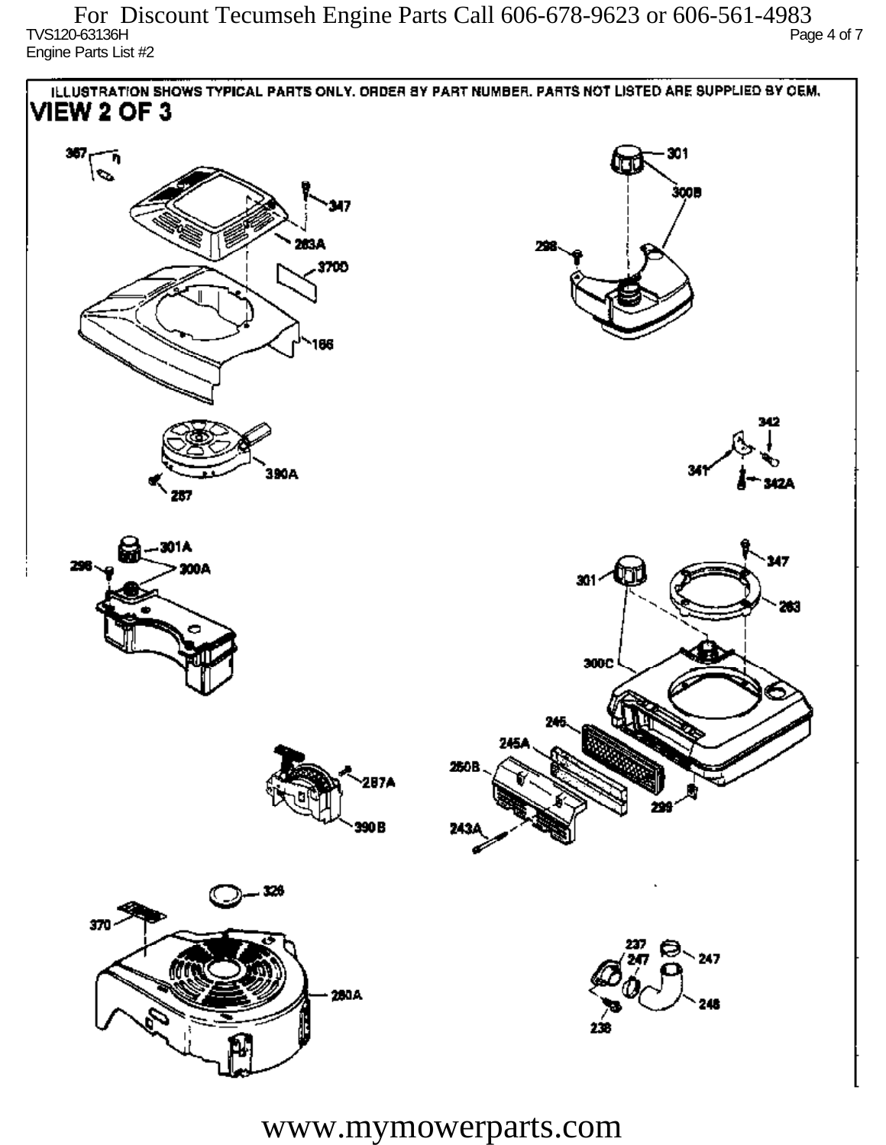$\sim$  TVS120-63136H Page 4 of 7 Engine Parts List #2 For Discount Tecumseh Engine Parts Call 606-678-9623 or 606-561-4983



www.mymowerparts.com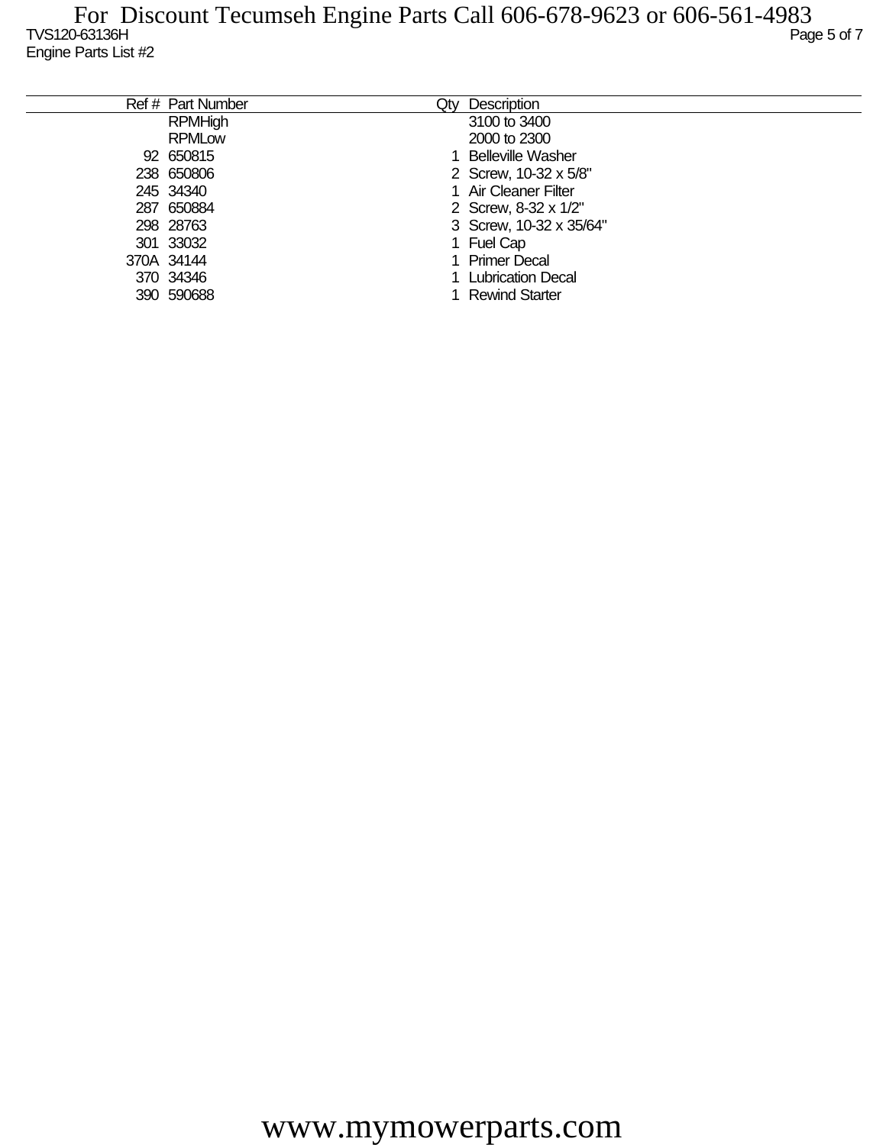| Ref # Part Number | Qtv | Description              |
|-------------------|-----|--------------------------|
| <b>RPMHigh</b>    |     | 3100 to 3400             |
| <b>RPMLow</b>     |     | 2000 to 2300             |
| 92 650815         |     | <b>Belleville Washer</b> |
| 238 650806        |     | 2 Screw, 10-32 x 5/8"    |
| 245 34340         |     | 1 Air Cleaner Filter     |
| 287 650884        |     | 2 Screw, 8-32 x 1/2"     |
| 298 28763         |     | 3 Screw, 10-32 x 35/64"  |
| 301 33032         |     | 1 Fuel Cap               |
| 370A 34144        |     | 1 Primer Decal           |
| 370 34346         |     | 1 Lubrication Decal      |
| 390 590688        |     | <b>Rewind Starter</b>    |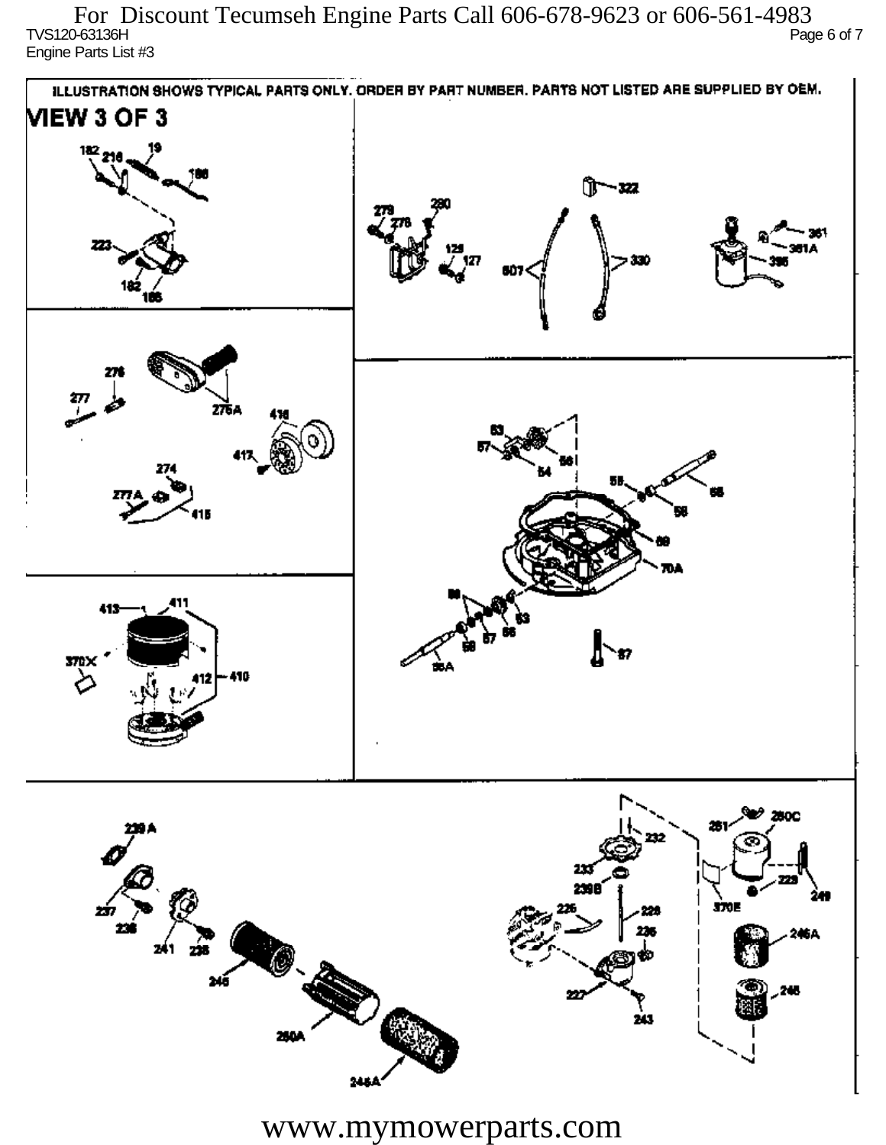TVS120-63136H Page 6 of 7 Engine Parts List #3 For Discount Tecumseh Engine Parts Call 606-678-9623 or 606-561-4983



www.mymowerparts.com